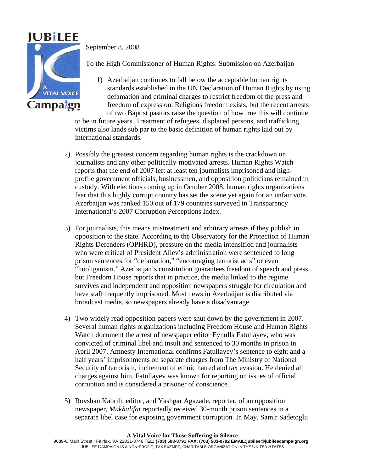

September 8, 2008

To the High Commissioner of Human Rights: Submission on Azerbaijan

1) Azerbaijan continues to fall below the acceptable human rights standards established in the UN Declaration of Human Rights by using defamation and criminal charges to restrict freedom of the press and freedom of expression. Religious freedom exists, but the recent arrests of two Baptist pastors raise the question of how true this will continue

to be in future years. Treatment of refugees, displaced persons, and trafficking victims also lands sub par to the basic definition of human rights laid out by international standards.

- 2) Possibly the greatest concern regarding human rights is the crackdown on journalists and any other politically-motivated arrests. Human Rights Watch reports that the end of 2007 left at least ten journalists imprisoned and highprofile government officials, businessmen, and opposition politicians remained in custody. With elections coming up in October 2008, human rights organizations fear that this highly corrupt country has set the scene yet again for an unfair vote. Azerbaijan was ranked 150 out of 179 countries surveyed in Transparency International's 2007 Corruption Perceptions Index.
- 3) For journalists, this means mistreatment and arbitrary arrests if they publish in opposition to the state. According to the Observatory for the Protection of Human Rights Defenders (OPHRD), pressure on the media intensified and journalists who were critical of President Aliev's administration were sentenced to long prison sentences for "defamation," "encouraging terrorist acts" or even "hooliganism." Azerbaijan's constitution guarantees freedom of speech and press, but Freedom House reports that in practice, the media linked to the regime survives and independent and opposition newspapers struggle for circulation and have staff frequently imprisoned. Most news in Azerbaijan is distributed via broadcast media, so newspapers already have a disadvantage.
- 4) Two widely read opposition papers were shut down by the government in 2007. Several human rights organizations including Freedom House and Human Rights Watch document the arrest of newspaper editor Eynulla Fatullayev, who was convicted of criminal libel and insult and sentenced to 30 months in prison in April 2007. Amnesty International confirms Fatullayev's sentence to eight and a half years' imprisonments on separate charges from The Ministry of National Security of terrorism, incitement of ethnic hatred and tax evasion. He denied all charges against him. Fatullayev was known for reporting on issues of official corruption and is considered a prisoner of conscience.
- 5) Rovshan Kabrili, editor, and Yashgar Agazade, reporter, of an opposition newspaper, *Mukhalifat* reportedly received 30-month prison sentences in a separate libel case for exposing government corruption. In May, Samir Sadetoglu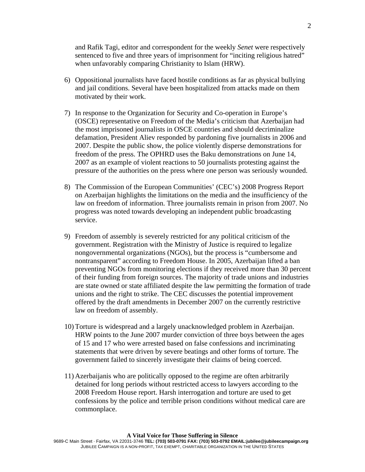and Rafik Tagi, editor and correspondent for the weekly *Senet* were respectively sentenced to five and three years of imprisonment for "inciting religious hatred" when unfavorably comparing Christianity to Islam (HRW).

- 6) Oppositional journalists have faced hostile conditions as far as physical bullying and jail conditions. Several have been hospitalized from attacks made on them motivated by their work.
- 7) In response to the Organization for Security and Co-operation in Europe's (OSCE) representative on Freedom of the Media's criticism that Azerbaijan had the most imprisoned journalists in OSCE countries and should decriminalize defamation, President Aliev responded by pardoning five journalists in 2006 and 2007. Despite the public show, the police violently disperse demonstrations for freedom of the press. The OPHRD uses the Baku demonstrations on June 14, 2007 as an example of violent reactions to 50 journalists protesting against the pressure of the authorities on the press where one person was seriously wounded.
- 8) The Commission of the European Communities' (CEC's) 2008 Progress Report on Azerbaijan highlights the limitations on the media and the insufficiency of the law on freedom of information. Three journalists remain in prison from 2007. No progress was noted towards developing an independent public broadcasting service.
- 9) Freedom of assembly is severely restricted for any political criticism of the government. Registration with the Ministry of Justice is required to legalize nongovernmental organizations (NGOs), but the process is "cumbersome and nontransparent" according to Freedom House. In 2005, Azerbaijan lifted a ban preventing NGOs from monitoring elections if they received more than 30 percent of their funding from foreign sources. The majority of trade unions and industries are state owned or state affiliated despite the law permitting the formation of trade unions and the right to strike. The CEC discusses the potential improvement offered by the draft amendments in December 2007 on the currently restrictive law on freedom of assembly.
- 10) Torture is widespread and a largely unacknowledged problem in Azerbaijan. HRW points to the June 2007 murder conviction of three boys between the ages of 15 and 17 who were arrested based on false confessions and incriminating statements that were driven by severe beatings and other forms of torture. The government failed to sincerely investigate their claims of being coerced.
- 11) Azerbaijanis who are politically opposed to the regime are often arbitrarily detained for long periods without restricted access to lawyers according to the 2008 Freedom House report. Harsh interrogation and torture are used to get confessions by the police and terrible prison conditions without medical care are commonplace.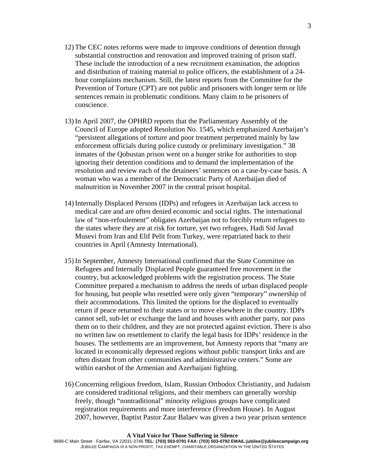- 12) The CEC notes reforms were made to improve conditions of detention through substantial construction and renovation and improved training of prison staff. These include the introduction of a new recruitment examination, the adoption and distribution of training material to police officers, the establishment of a 24 hour complaints mechanism. Still, the latest reports from the Committee for the Prevention of Torture (CPT) are not public and prisoners with longer term or life sentences remain in problematic conditions. Many claim to be prisoners of conscience.
- 13) In April 2007, the OPHRD reports that the Parliamentary Assembly of the Council of Europe adopted Resolution No. 1545, which emphasized Azerbaijan's "persistent allegations of torture and poor treatment perpetrated mainly by law enforcement officials during police custody or preliminary investigation." 38 inmates of the Qobustan prison went on a hunger strike for authorities to stop ignoring their detention conditions and to demand the implementation of the resolution and review each of the detainees' sentences on a case-by-case basis. A woman who was a member of the Democratic Party of Azerbaijan died of malnutrition in November 2007 in the central prison hospital.
- 14) Internally Displaced Persons (IDPs) and refugees in Azerbaijan lack access to medical care and are often denied economic and social rights. The international law of "non-refoulement" obligates Azerbaijan not to forcibly return refugees to the states where they are at risk for torture, yet two refugees, Hadi Sid Javad Musevi from Iran and Elif Pelit from Turkey, were repatriated back to their countries in April (Amnesty International).
- 15) In September, Amnesty International confirmed that the State Committee on Refugees and Internally Displaced People guaranteed free movement in the country, but acknowledged problems with the registration process. The State Committee prepared a mechanism to address the needs of urban displaced people for housing, but people who resettled were only given "temporary" ownership of their accommodations. This limited the options for the displaced to eventually return if peace returned to their states or to move elsewhere in the country. IDPs cannot sell, sub-let or exchange the land and houses with another party, nor pass them on to their children, and they are not protected against eviction. There is also no written law on resettlement to clarify the legal basis for IDPs' residence in the houses. The settlements are an improvement, but Amnesty reports that "many are located in economically depressed regions without public transport links and are often distant from other communities and administrative centers." Some are within earshot of the Armenian and Azerbaijani fighting.
- 16) Concerning religious freedom, Islam, Russian Orthodox Christianity, and Judaism are considered traditional religions, and their members can generally worship freely, though "nontraditional" minority religious groups have complicated registration requirements and more interference (Freedom House). In August 2007, however, Baptist Pastor Zaur Balaev was given a two year prison sentence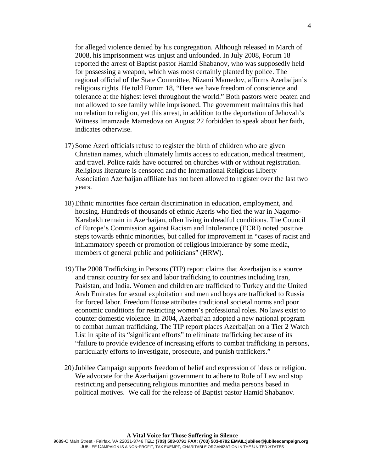for alleged violence denied by his congregation. Although released in March of 2008, his imprisonment was unjust and unfounded. In July 2008, Forum 18 reported the arrest of Baptist pastor Hamid Shabanov, who was supposedly held for possessing a weapon, which was most certainly planted by police. The regional official of the State Committee, Nizami Mamedov, affirms Azerbaijan's religious rights. He told Forum 18, "Here we have freedom of conscience and tolerance at the highest level throughout the world." Both pastors were beaten and not allowed to see family while imprisoned. The government maintains this had no relation to religion, yet this arrest, in addition to the deportation of Jehovah's Witness Imamzade Mamedova on August 22 forbidden to speak about her faith, indicates otherwise.

- 17) Some Azeri officials refuse to register the birth of children who are given Christian names, which ultimately limits access to education, medical treatment, and travel. Police raids have occurred on churches with or without registration. Religious literature is censored and the International Religious Liberty Association Azerbaijan affiliate has not been allowed to register over the last two years.
- 18) Ethnic minorities face certain discrimination in education, employment, and housing. Hundreds of thousands of ethnic Azeris who fled the war in Nagorno-Karabakh remain in Azerbaijan, often living in dreadful conditions. The Council of Europe's Commission against Racism and Intolerance (ECRI) noted positive steps towards ethnic minorities, but called for improvement in "cases of racist and inflammatory speech or promotion of religious intolerance by some media, members of general public and politicians" (HRW).
- 19) The 2008 Trafficking in Persons (TIP) report claims that Azerbaijan is a source and transit country for sex and labor trafficking to countries including Iran, Pakistan, and India. Women and children are trafficked to Turkey and the United Arab Emirates for sexual exploitation and men and boys are trafficked to Russia for forced labor. Freedom House attributes traditional societal norms and poor economic conditions for restricting women's professional roles. No laws exist to counter domestic violence. In 2004, Azerbaijan adopted a new national program to combat human trafficking. The TIP report places Azerbaijan on a Tier 2 Watch List in spite of its "significant efforts" to eliminate trafficking because of its "failure to provide evidence of increasing efforts to combat trafficking in persons, particularly efforts to investigate, prosecute, and punish traffickers."
- 20)Jubilee Campaign supports freedom of belief and expression of ideas or religion. We advocate for the Azerbaijani government to adhere to Rule of Law and stop restricting and persecuting religious minorities and media persons based in political motives. We call for the release of Baptist pastor Hamid Shabanov.